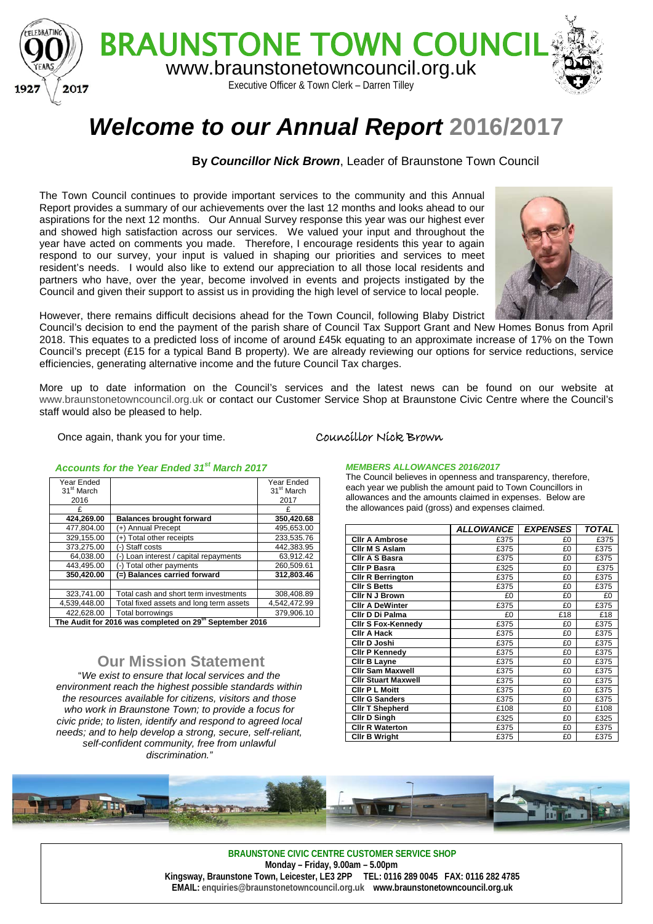

# *Welcome to our Annual Report* **2016/2017**

### **By** *Councillor Nick Brown*, Leader of Braunstone Town Council

The Town Council continues to provide important services to the community and this Annual Report provides a summary of our achievements over the last 12 months and looks ahead to our aspirations for the next 12 months. Our Annual Survey response this year was our highest ever and showed high satisfaction across our services. We valued your input and throughout the year have acted on comments you made. Therefore, I encourage residents this year to again respond to our survey, your input is valued in shaping our priorities and services to meet resident's needs. I would also like to extend our appreciation to all those local residents and partners who have, over the year, become involved in events and projects instigated by the Council and given their support to assist us in providing the high level of service to local people.



However, there remains difficult decisions ahead for the Town Council, following Blaby District

Council's decision to end the payment of the parish share of Council Tax Support Grant and New Homes Bonus from April 2018. This equates to a predicted loss of income of around £45k equating to an approximate increase of 17% on the Town Council's precept (£15 for a typical Band B property). We are already reviewing our options for service reductions, service efficiencies, generating alternative income and the future Council Tax charges.

More up to date information on the Council's services and the latest news can be found on our website at [www.braunstonetowncouncil.org.uk](http://www.braunstonetowncouncil.org.uk/) or contact our Customer Service Shop at Braunstone Civic Centre where the Council's staff would also be pleased to help.

Once again, thank you for your time. Councillor Nick Brown

| AGGOUNIS IOI ME TEAL ENGEU 31 - MAIGH ZOTT              |                                         |                        |  |  |
|---------------------------------------------------------|-----------------------------------------|------------------------|--|--|
| Year Ended                                              |                                         | Year Ended             |  |  |
| 31 <sup>st</sup> March                                  |                                         | 31 <sup>st</sup> March |  |  |
| 2016                                                    |                                         | 2017                   |  |  |
|                                                         |                                         | £                      |  |  |
| 424,269.00                                              | <b>Balances brought forward</b>         | 350,420.68             |  |  |
| 477,804.00                                              | (+) Annual Precept                      | 495,653.00             |  |  |
| 329,155.00                                              | $+$ ) Total other receipts              | 233.535.76             |  |  |
| 373,275.00                                              | Staff costs<br>- 1                      | 442.383.95             |  |  |
| 64,038.00                                               | -) Loan interest / capital repayments   | 63,912.42              |  |  |
| 443.495.00                                              | Total other payments<br>-1              | 260.509.61             |  |  |
| 350,420.00                                              | (=) Balances carried forward            | 312,803.46             |  |  |
|                                                         |                                         |                        |  |  |
| 323,741.00                                              | Total cash and short term investments   | 308,408.89             |  |  |
| 4,539,448.00                                            | Total fixed assets and long term assets | 4,542,472.99           |  |  |
| 422.628.00                                              | Total borrowings                        | 379,906.10             |  |  |
| The Audit for 2016 was completed on 29th September 2016 |                                         |                        |  |  |

#### *Accounts for the Year Ended 31st March 2017*

## **Our Mission Statement**

"*We exist to ensure that local services and the environment reach the highest possible standards within the resources available for citizens, visitors and those who work in Braunstone Town; to provide a focus for civic pride; to listen, identify and respond to agreed local needs; and to help develop a strong, secure, self-reliant, self-confident community, free from unlawful discrimination."*

#### *MEMBERS ALLOWANCES 2016/2017*

The Council believes in openness and transparency, therefore, each year we publish the amount paid to Town Councillors in allowances and the amounts claimed in expenses. Below are the allowances paid (gross) and expenses claimed.

|                            | <b>ALLOWANCE</b> | <b>EXPENSES</b> | <b>TOTAL</b> |
|----------------------------|------------------|-----------------|--------------|
| <b>CIIr A Ambrose</b>      | £375             | £0              | £375         |
| Cllr M S Aslam             | £375             | £0              | £375         |
| Cllr A S Basra             | £375             | £0              | £375         |
| <b>CIIr P Basra</b>        | £325             | £0              | £375         |
| <b>Clir R Berrington</b>   | £375             | £0              | £375         |
| <b>CIIr S Betts</b>        | £375             | £0              | £375         |
| <b>Clir N J Brown</b>      | £0               | £0              | £0           |
| <b>CIIr A DeWinter</b>     | £375             | £0              | £375         |
| Cllr D Di Palma            | £0               | £18             | £18          |
| <b>Clir S Fox-Kennedy</b>  | £375             | £0              | £375         |
| <b>CIIr A Hack</b>         | £375             | £0              | £375         |
| Cllr D Joshi               | £375             | £0              | £375         |
| <b>Clir P Kennedy</b>      | £375             | £0              | £375         |
| Clir B Layne               | £375             | £0              | £375         |
| <b>Clir Sam Maxwell</b>    | £375             | £0              | £375         |
| <b>Clir Stuart Maxwell</b> | £375             | £0              | £375         |
| <b>Clir P L Moitt</b>      | £375             | £0              | £375         |
| <b>Clir G Sanders</b>      | £375             | £0              | £375         |
| <b>CIIr T Shepherd</b>     | £108             | £0              | £108         |
| Cllr D Singh               | £325             | £0              | £325         |
| <b>CIIr R Waterton</b>     | £375             | £0              | £375         |
| <b>CIIr B Wright</b>       | £375             | £0              | £375         |



**BRAUNSTONE CIVIC CENTRE CUSTOMER SERVICE SHOP Monday – Friday, 9.00am – 5.00pm Kingsway, Braunstone Town, Leicester, LE3 2PP TEL: 0116 289 0045 FAX: 0116 282 4785 EMAIL[: enquiries@braunstonetowncouncil.org.uk](mailto:enquiries@braunstonetowncouncil.org.uk) www.braunstonetowncouncil.org.uk**